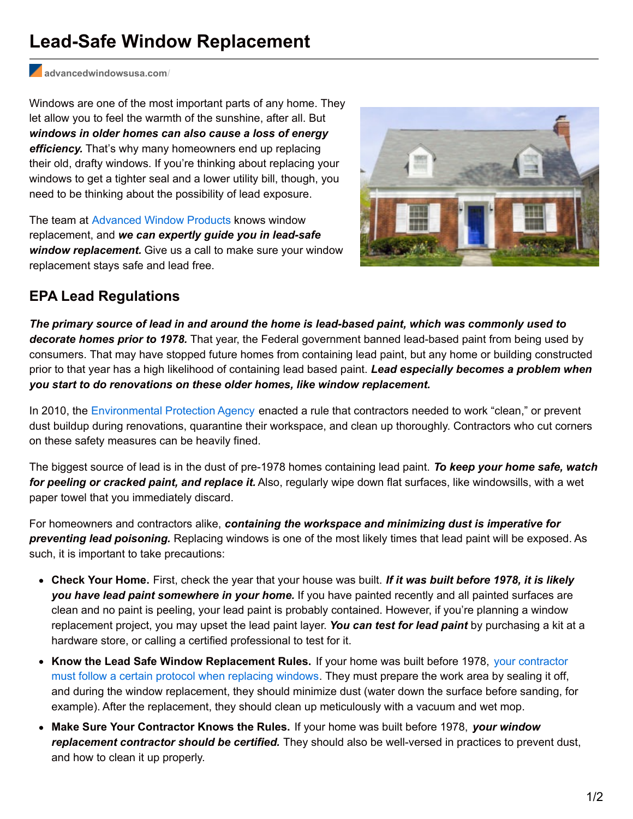## **Lead-Safe Window Replacement**

**[advancedwindowsusa.com](http://advancedwindowsusa.com/?p=3629&preview=true)**/

Windows are one of the most important parts of any home. They let allow you to feel the warmth of the sunshine, after all. But *windows in older homes can also cause a loss of energy efficiency.* That's why many homeowners end up replacing their old, drafty windows. If you're thinking about replacing your windows to get a tighter seal and a lower utility bill, though, you need to be thinking about the possibility of lead exposure.

The team at [Advanced](http://advancedwindowsusa.com/) Window Products knows window replacement, and *we can expertly guide you in lead-safe window replacement.* Give us a call to make sure your window replacement stays safe and lead free.



## **EPA Lead Regulations**

*The primary source of lead in and around the home is lead-based paint, which was commonly used to decorate homes prior to 1978.* That year, the Federal government banned lead-based paint from being used by consumers. That may have stopped future homes from containing lead paint, but any home or building constructed prior to that year has a high likelihood of containing lead based paint. *Lead especially becomes a problem when you start to do renovations on these older homes, like window replacement.*

In 2010, the [Environmental](https://www.epa.gov/lead/renovation-repair-and-painting-program) Protection Agency enacted a rule that contractors needed to work "clean," or prevent dust buildup during renovations, quarantine their workspace, and clean up thoroughly. Contractors who cut corners on these safety measures can be heavily fined.

The biggest source of lead is in the dust of pre-1978 homes containing lead paint. *To keep your home safe, watch for peeling or cracked paint, and replace it.* Also, regularly wipe down flat surfaces, like windowsills, with a wet paper towel that you immediately discard.

For homeowners and contractors alike, *containing the workspace and minimizing dust is imperative for preventing lead poisoning.* Replacing windows is one of the most likely times that lead paint will be exposed. As such, it is important to take precautions:

- **Check Your Home.** First, check the year that your house was built. *If it was built before 1978, it is likely you have lead paint somewhere in your home.* If you have painted recently and all painted surfaces are clean and no paint is peeling, your lead paint is probably contained. However, if you're planning a window replacement project, you may upset the lead paint layer. *You can test for lead paint* by purchasing a kit at a hardware store, or calling a certified professional to test for it.
- **Know the Lead Safe Window [Replacement](https://www.epa.gov/sites/production/files/documents/renovaterightbookletbwsept2011.pdf) Rules.** If your home was built before 1978, your contractor must follow a certain protocol when replacing windows. They must prepare the work area by sealing it off, and during the window replacement, they should minimize dust (water down the surface before sanding, for example). After the replacement, they should clean up meticulously with a vacuum and wet mop.
- **Make Sure Your Contractor Knows the Rules.** If your home was built before 1978, *your window replacement contractor should be certified.* They should also be well-versed in practices to prevent dust, and how to clean it up properly.